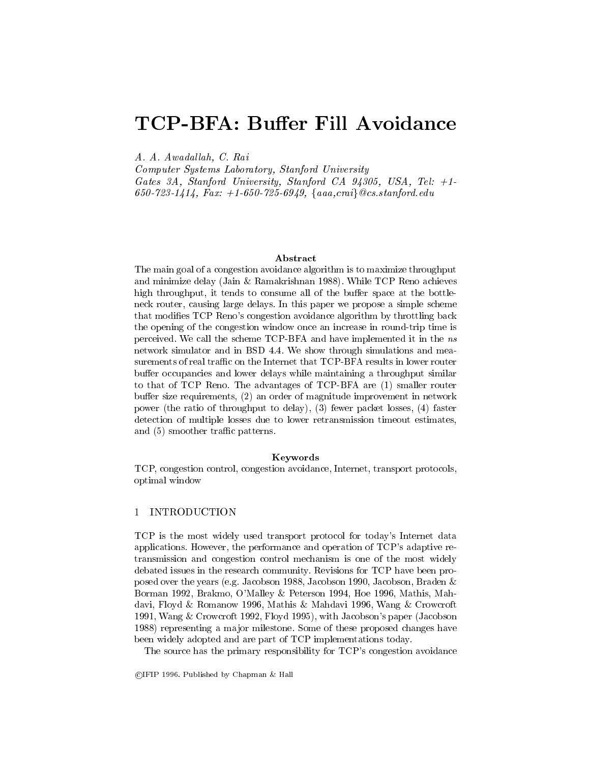# TCP-BFA: Buffer Fill Avoidance

A. A. Awadallah, C. Rai

Computer Systems Laboratory, Stanford University Gates 3A, Stanford University, Stanford CA 94305, USA, Tel:  $+1$ -650-723-1414, Fax:  $+1$ -650-725-6949, {aaa,crai}@cs.stanford.edu

### Abstract

The main goal of a congestion avoidance algorithm is to maximize throughput and minimize delay (Jain & Ramakrishnan 1988). While TCP Reno achieves high throughput, it tends to consume all of the buffer space at the bottleneck router, causing large delays. In this paper we propose a simple scheme that modies TCP Reno's congestion avoidance algorithm by throttling back the opening of the congestion window once an increase in round-trip time is perceived. We call the scheme TCP-BFA and have implemented it in the ns network simulator and in BSD 4.4. We show through simulations and measurements of real traffic on the Internet that TCP-BFA results in lower router buffer occupancies and lower delays while maintaining a throughput similar to that of TCP Reno.The advantages of TCP-BFA are (1) smaller router buffer size requirements,  $(2)$  an order of magnitude improvement in network power (the ratio of throughput to delay), (3) fewer packet losses, (4) faster detection of multiple losses due to lower retransmission timeout estimates, and  $(5)$  smoother traffic patterns.

### Keywords

TCP, congestion control, congestion avoidance, Internet, transport protocols, optimal window

#### **INTRODUCTION**  $\mathbf{1}$

TCP is the most widely used transport protocol for today's Internet data applications. However, the performance and operation of TCP's adaptive retransmission and congestion control mechanism is one of the most widely debated issues in the research community. Revisions for TCP have been proposed over the years (e.g. Jacobson 1988, Jacobson 1990, Jacobson, Braden & Borman 1992, Brakmo, O'Malley & Peterson 1994, Hoe 1996, Mathis, Mahdavi, Floyd & Romanow 1996, Mathis & Mahdavi 1996, Wang & Crowcroft 1991, Wang & Crowcroft 1992, Floyd 1995), with Jacobson's paper (Jacobson 1988) representing a ma jor milestone. Some of these proposed changes have been widely adopted and are part of TCP implementations today.

The source has the primary responsibility for TCP's congestion avoidance

<sup>c</sup> IFIP 1996. Published by Chapman & Hall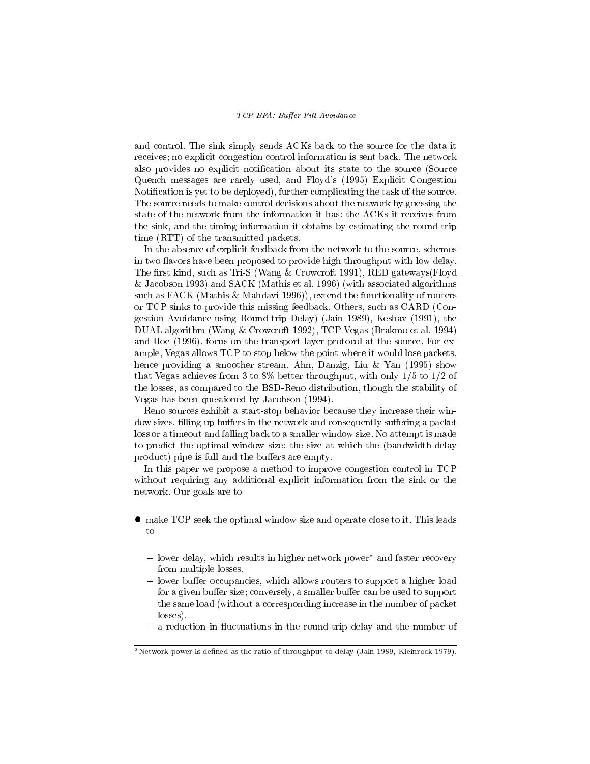and control. The sink simply sends ACKs back to the source for the data it receives; no explicit congestion control information is sent back. The network also provides no explicit notification about its state to the source (Source Quench messages are rarely used, and Floyd's (1995) Explicit Congestion Notication is yet to be deployed), further complicating the task of the source. The source needs to make control decisions about the network by guessing the state of the network from the information it has: the ACKs it receives from the sink, and the timing information it obtains by estimating the round trip time (RTT) of the transmitted packets.

In the absence of explicit feedback from the network to the source, schemes in two flavors have been proposed to provide high throughput with low delay. The first kind, such as Tri-S (Wang & Crowcroft 1991), RED gateways (Floyd & Jacobson 1993) and SACK (Mathis et al. 1996) (with associated algorithms such as FACK (Mathis & Mahdavi 1996)), extend the functionality of routers or TCP sinks to provide this missing feedback. Others, such as CARD (Congestion Avoidance using Round-trip Delay) (Jain 1989), Keshav (1991), the DUAL algorithm (Wang & Crowcroft 1992), TCP Vegas (Brakmo et al. 1994) and Hoe (1996), focus on the transport-layer protocol at the source. For example, Vegas allows TCP to stop below the point where it would lose packets, hence providing a smoother stream. Ahn, Danzig, Liu & Yan (1995) show that Vegas achieves from 3 to 8% better throughput, with only 1/5 to 1/2 of the losses, as compared to the BSD-Reno distribution, though the stability of Vegas has been questioned by Jacobson (1994).

Reno sources exhibit a start-stop behavior because they increase their window sizes, filling up buffers in the network and consequently suffering a packet loss or a timeout and falling back to a smaller window size. No attempt is made to predict the optimal window size: the size at which the (bandwidth-delay product) pipe is full and the buffers are empty.

In this paper we propose a method to improve congestion control in TCP without requiring any additional explicit information from the sink or the network. Our goals are to

- make TCP seek the optimal window size and operate close to it. This leads to it. This leads to it. This leads  $tc$ 
	- ${}^{\circ}$  lower delay, which results in higher network power<sup>\*</sup> and faster recovery from multiple losses.
	- ${\rm -}$  lower buffer occupancies, which allows routers to support a higher load for a given buffer size; conversely, a smaller buffer can be used to support the same load (without a corresponding increase in the number of packet losses).
	- a reduction in fluctuations in the round-trip delay and the number of

<sup>\*</sup>Network power is defined as the ratio of throughput to delay (Jain 1989, Kleinrock 1979).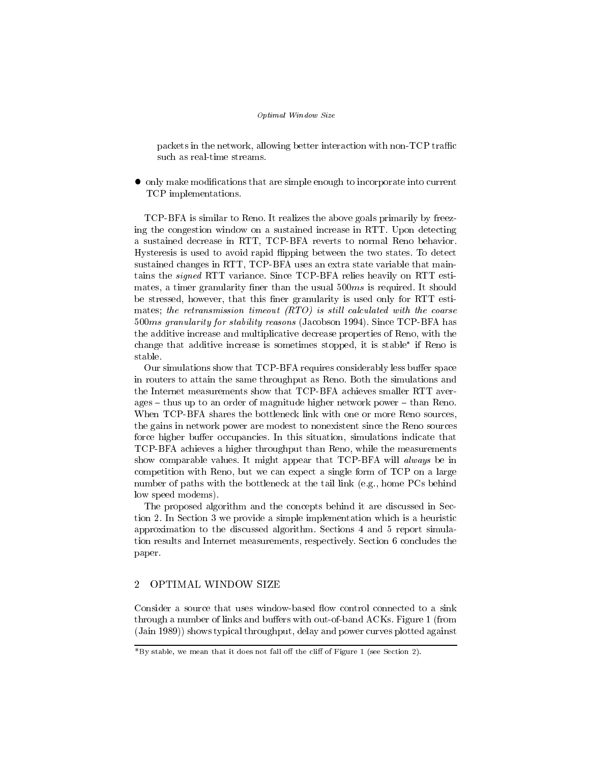#### Ontimal Window Size Optimal Window Size

packets in the network, allowing better interaction with non-TCP traffic such as real-time streams.

only make modifications that are simple enough to incorporate into the simple enough to into current TCP implementations.

TCP-BFA is similar to Reno. It realizes the above goals primarily by freezing the congestion window on a sustained increase in RTT. Upon detecting a sustained decrease in RTT, TCP-BFA reverts to normal Reno behavior. Hysteresis is used to avoid rapid flipping between the two states. To detect sustained changes in RTT, TCP-BFA uses an extra state variable that maintains the signed RTT variance. Since TCP-BFA relies heavily on RTT estimates, a timer granularity finer than the usual  $500ms$  is required. It should be stressed, however, that this finer granularity is used only for RTT estimates; the retransmission timeout  $(RTO)$  is still calculated with the coarse 500ms granularity for stability reasons (Jacobson 1994). Since TCP-BFA has the additive increase and multiplicative decrease properties of Reno, with the change that additive increase is sometimes stopped, it is stable if Reno is stable.

Our simulations show that TCP-BFA requires considerably less buffer space in routers to attain the same throughput as Reno. Both the simulations and the Internet measurements show that TCP-BFA achieves smaller RTT averages  $-$  thus up to an order of magnitude higher network power  $-$  than Reno. When TCP-BFA shares the bottleneck link with one or more Reno sources, the gains in network power are modest to nonexistent since the Reno sources force higher buffer occupancies. In this situation, simulations indicate that TCP-BFA achieves a higher throughput than Reno, while the measurements show comparable values. It might appear that TCP-BFA will always be in competition with Reno, but we can expect a single form of TCP on a large number of paths with the bottleneck at the tail link (e.g., home PCs behind low speed modems).

The proposed algorithm and the concepts behind it are discussed in Section 2. In Section 3 we provide a simple implementation which is a heuristic approximation to the discussed algorithm. Sections 4 and 5 report simulation results and Internet measurements, respectively. Section 6 concludes the paper.

#### $\overline{2}$ OPTIMAL WINDOW SIZE

Consider a source that uses window-based flow control connected to a sink through a number of links and buffers with out-of-band ACKs. Figure 1 (from (Jain 1989)) shows typical throughput, delay and power curves plotted against

 $*$ By stable, we mean that it does not fall off the cliff of Figure 1 (see Section 2).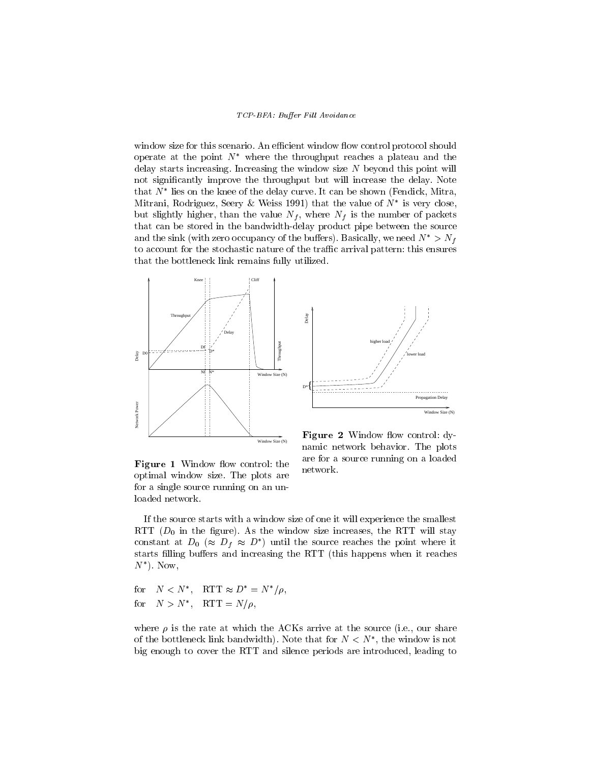window size for this scenario. An efficient window flow control protocol should operate at the point  $N^*$  where the throughput reaches a plateau and the delay starts increasing. Increasing the window size  $N$  beyond this point will not signicantly improve the throughput but will increase the delay. Note that <sup>N</sup> lies on the knee of the delay curve. It can be shown (Fendick, Mitra, Mitram, Rodriguez, Seery  $\alpha$  weiss 1991) that the value of  $N$  is very close, but slightly higher, than the value  $N_f$ , where  $N_f$  is the number of packets that can be stored in the bandwidth-delay product pipe between the source and the sink (with zero occupancy of the buffers). Basically, we need  $N^* > N_f$ to account for the stochastic nature of the traffic arrival pattern: this ensures that the bottleneck link remains fully utilized.



Window Size (N) Propagation Delay lower load higher load Delay  $_{\rm D}$ 

Figure 1 Window flow control: the optimal window size. The plots are for a single source running on an unloaded network.

Figure 2 Window flow control: dynamic network behavior. The plots are for a source running on a loaded network.

If the source starts with a window size of one it will experience the smallest RTT  $(D_0$  in the figure). As the window size increases, the RTT will stay constant at  $D_0$  ( $\approx$   $D_f$   $\approx$   $D_f$ ) until the source reaches the point where it starts filling buffers and increasing the RTT (this happens when it reaches N ). Now,

for 
$$
N < N^*
$$
, RTT  $\approx D^* = N^*/\rho$ ,  
for  $N > N^*$ , RTT =  $N/\rho$ ,

where  $\rho$  is the rate at which the ACKs arrive at the source (i.e., our share of the bottleneck link bandwidth). Note that for  $N < N$  , the window is not big enough to cover the RTT and silence periods are introduced, leading to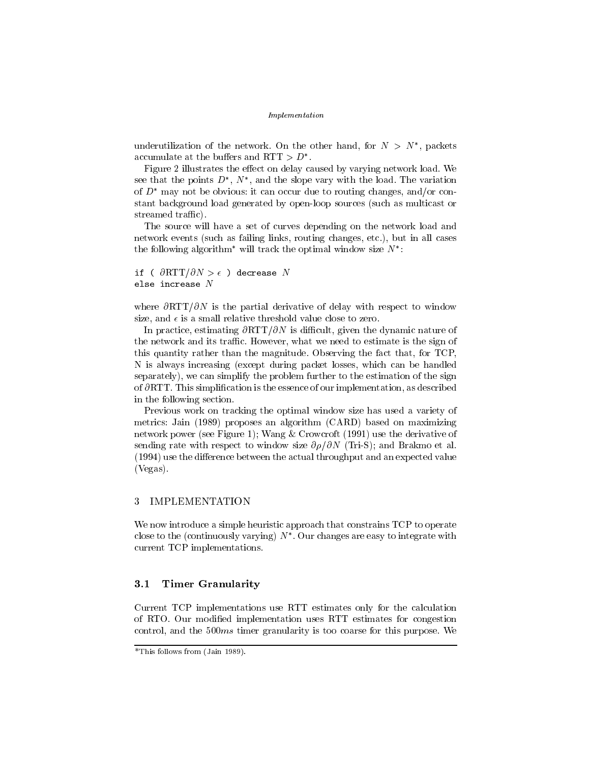### Implementation

underutilization of the network. On the other hand, for  $N > N$ , packets accumulate at the bullers and  $\mathbb{R} \setminus D$ .

Figure 2 illustrates the effect on delay caused by varying network load. We see that the points  $D$  ,  $N$  , and the slope vary with the load. The variation of  $D^*$  may not be obvious: it can occur due to routing changes, and/or constant background load generated by open-loop sources (such as multicast or streamed traffic).

The source will have a set of curves depending on the network load and network events (such as failing links, routing changes, etc.), but in all cases the following algorithm will track the optimal window size  $N$ :

```
if ( \partial \text{RTT}/\partial N > \epsilon ) decrease N
else increase N
```
where  $\partial RTT/\partial N$  is the partial derivative of delay with respect to window size, and  $\epsilon$  is a small relative threshold value close to zero.

In practice, estimating  $\partial RTT/\partial N$  is difficult, given the dynamic nature of the network and its traffic. However, what we need to estimate is the sign of this quantity rather than the magnitude. Observing the fact that, for TCP, N is always increasing (except during packet losses, which can be handled separately), we can simplify the problem further to the estimation of the sign of  $\partial RTT$ . This simplification is the essence of our implementation, as described in the following section.

Previous work on tracking the optimal window size has used a variety of metrics: Jain (1989) proposes an algorithm (CARD) based on maximizing network power (see Figure 1); Wang & Crowcroft (1991) use the derivative of sending rate with respect to window size  $\partial \rho / \partial N$  (Tri-S); and Brakmo et al.  $(1994)$  use the difference between the actual throughput and an expected value (Vegas).

#### 3 **IMPLEMENTATION**

We now introduce a simple heuristic approach that constrains TCP to operate close to the (continuously varying) *i*v . Our changes are easy to integrate with current TCP implementations.

# 3.1 Timer Granularity

Current TCP implementations use RTT estimates only for the calculation of RTO. Our modied implementation uses RTT estimates for congestion control, and the 500ms timer granularity is too coarse for this purpose. We

This follows from (Jain 1989).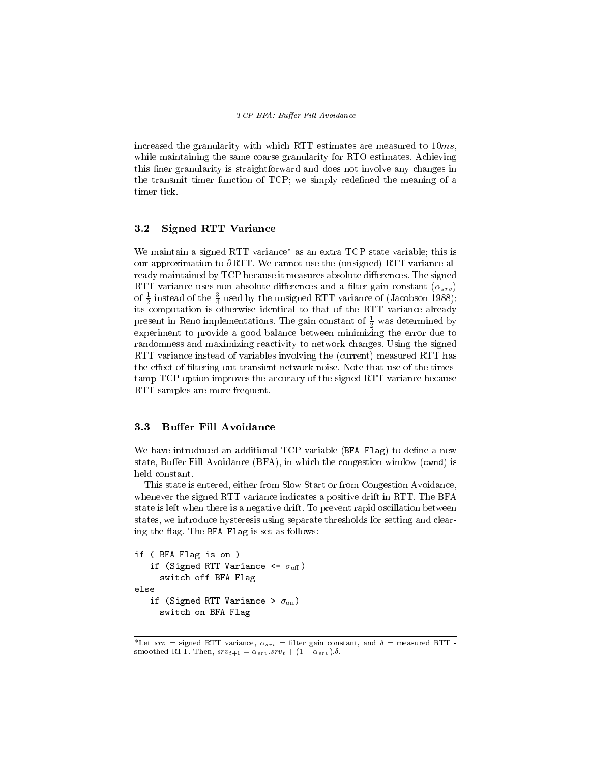increased the granularity with which RTT estimates are measured to 10ms, while maintaining the same coarse granularity for RTO estimates. Achieving this finer granularity is straightforward and does not involve any changes in the transmit timer function of TCP; we simply redefined the meaning of a timer tick.

# 3.2 Signed RTT Variance

We maintain a signed RTT variance<sup>\*</sup> as an extra  $TCP$  state variable; this is our approximation to  $\partial RTT$ . We cannot use the (unsigned) RTT variance already maintained by TCP because it measures absolute differences. The signed RTT variance uses non-absolute differences and a filter gain constant  $(\alpha_{srv})$ of  $\frac{1}{2}$  instead of the  $\frac{1}{4}$  used by the unsigned RTT variance of (Jacobson 1988); its computation is otherwise identical to that of the RTT variance already present in Reno implementations. The gain constant of  $\frac{1}{2}$  was determined by experiment to provide a good balance between minimizing the error due to randomness and maximizing reactivity to network changes. Using the signed RTT variance instead of variables involving the (current) measured RTT has the effect of filtering out transient network noise. Note that use of the timestamp TCP option improves the accuracy of the signed RTT variance because RTT samples are more frequent.

#### $3.3$ Buffer Fill Avoidance

We have introduced an additional TCP variable  $(BFA$  Flag) to define a new state, Buffer Fill Avoidance (BFA), in which the congestion window (cwnd) is

This state is entered, either from Slow Start or from Congestion Avoidance, whenever the signed RTT variance indicates a positive drift in RTT. The BFA state is left when there is a negative drift. To prevent rapid oscillation between states, we introduce hysteresis using separate thresholds for setting and clearing the flag. The BFA Flag is set as follows:

```
if ( BFA Flag is on )
   if (Signed RTT Variance \leq \sigma_{\text{off}})
      switch off BFA Flag
else
   if (Signed RTT Variance > \sigma_{on})
      switch on BFA Flag
```
<sup>\*</sup>Let  $src = signed RTT variance, \alpha_{srv} = filter gain constant, and \delta = measured RTT$ smoothed RTT. Then,  $srv_{t+1} = \alpha_{srv}$   $srv_t + (1 - \alpha_{srv}).\delta$ .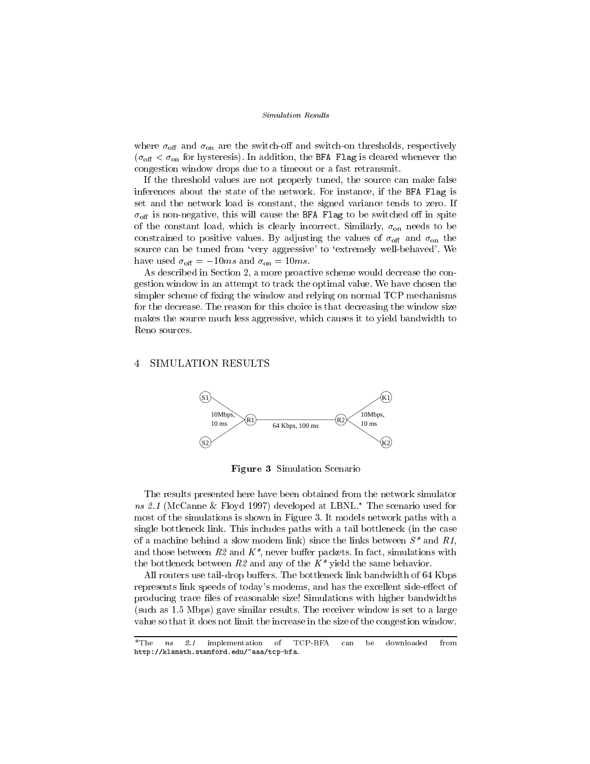#### Simulation Results

where  $\sigma_{\text{off}}$  and  $\sigma_{\text{on}}$  are the switch-off and switch-on thresholds, respectively  $(\sigma_{\text{off}} < \sigma_{\text{on}})$  for hysteresis). In addition, the BFA Flag is cleared whenever the congestion window drops due to a timeout or a fast retransmit.

If the threshold values are not properly tuned, the source can make false inferences about the state of the network. For instance, if the BFA Flag is set and the network load is constant, the signed variance tends to zero. If  $\sigma_{\text{off}}$  is non-negative, this will cause the BFA Flag to be switched off in spite of the constant load, which is clearly incorrect. Similarly,  $\sigma_{on}$  needs to be constrained to positive values. By adjusting the values of  $\sigma_{\text{off}}$  and  $\sigma_{\text{on}}$  the source can be tuned from `very aggressive' to `extremely well-behaved'. We have used  $\sigma_{\text{off}} = -10ms$  and  $\sigma_{\text{on}} = 10ms$ .

As described in Section 2, a more proactive scheme would decrease the congestion window in an attempt to track the optimal value. We have chosen the simpler scheme of fixing the window and relying on normal TCP mechanisms for the decrease. The reason for this choice is that decreasing the window size makes the source much less aggressive, which causes it to yield bandwidth to Reno sources.

#### $\overline{4}$ SIMULATION RESULTS



Figure 3 Simulation Scenario

The results presented here have been obtained from the network simulator ns 2.1 (McCanne & Floyd 1997) developed at LBNL.<sup>\*</sup> The scenario used for most of the simulations is shown in Figure 3. It models network paths with a single bottleneck link. This includes paths with a tail bottleneck (in the case of a machine behind a slow modem link) since the links between  $S^*$  and  $R1$ , and those between  $R\ell$  and  $K^*$ , never buffer packets. In fact, simulations with the bottleneck between  $R\ell$  and any of the  $K^*$  yield the same behavior.

All routers use tail-drop buffers. The bottleneck link bandwidth of 64 Kbps represents link speeds of today's modems, and has the excellent side-effect of producing trace files of reasonable size! Simulations with higher bandwidths (such as 1.5 Mbps) gave similar results. The receiver window is set to a large value so that it does not limit the increase in the size of the congestion window.

The ns 2.1 implementation of TCP-BFA can be downloaded from http://klamath.stanford.edu/~aaa/tcp-bfa.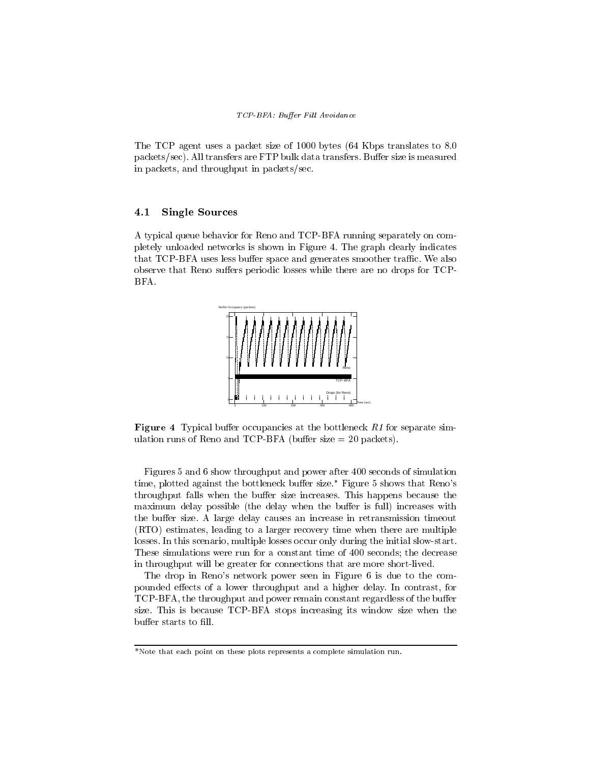The TCP agent uses a packet size of 1000 bytes (64 Kbps translates to 8.0 packets/sec). All transfers are FTP bulk data transfers. Buffer size is measured in packets, and throughput in packets/sec.

# 4.1 Single Sources

A typical queue behavior for Reno and TCP-BFA running separately on completely unloaded networks is shown in Figure 4. The graph clearly indicates that TCP-BFA uses less buffer space and generates smoother traffic. We also observe that Reno suffers periodic losses while there are no drops for  $TCP-$ BFA.



**Figure 4** Typical buffer occupancies at the bottleneck  $R1$  for separate simulation runs of Reno and TCP-BFA (buffer size  $= 20$  packets).

Figures 5 and 6 show throughput and power after 400 seconds of simulation time, plotted against the bottleneck buffer size.\* Figure 5 shows that Reno's throughput falls when the buffer size increases. This happens because the maximum delay possible (the delay when the buffer is full) increases with the buffer size. A large delay causes an increase in retransmission timeout (RTO) estimates, leading to a larger recovery time when there are multiple losses. In this scenario, multiple losses occur only during the initial slow-start. These simulations were run for a constant time of 400 seconds; the decrease in throughput will be greater for connections that are more short-lived.

The drop in Reno's network power seen in Figure 6 is due to the compounded effects of a lower throughput and a higher delay. In contrast, for TCP-BFA, the throughput and power remain constant regardless of the buffer size. This is because TCP-BFA stops increasing its window size when the buffer starts to fill.

Note that each point on these plots represents a complete simulation run.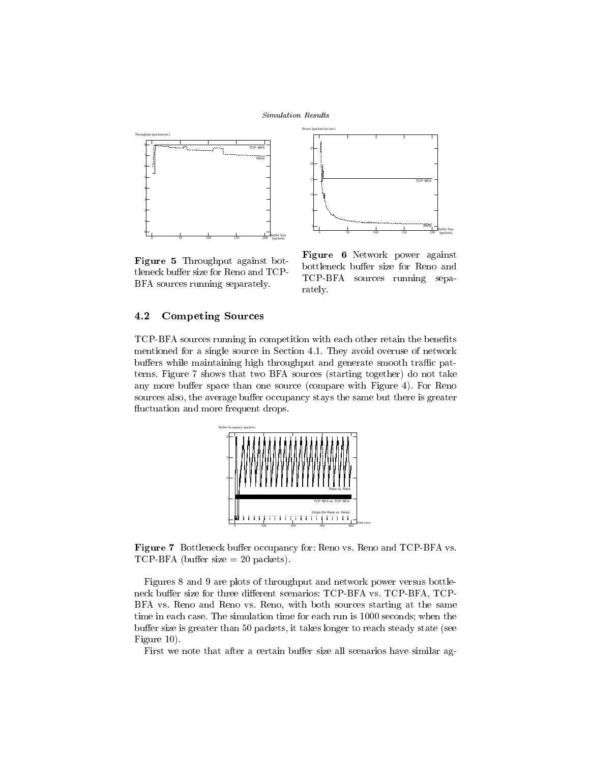



Figure 5 Throughput against bottleneck buffer size for Reno and  $TCP-$ BFA sources running separately.

Figure 6 Network power against bottleneck buffer size for Reno and TCP-BFA sources running separately.

# 4.2 Competing Sources

TCP-BFA sources running in competition with each other retain the benefits mentioned for a single source in Section 4.1. They avoid overuse of network buffers while maintaining high throughput and generate smooth traffic patterns. Figure 7 shows that two BFA sources (starting together) do not take any more buffer space than one source (compare with Figure 4). For Reno sources also, the average buffer occupancy stays the same but there is greater fluctuation and more frequent drops.



Figure 7 Bottleneck buffer occupancy for: Reno vs. Reno and TCP-BFA vs. TCP-BFA (buffer size  $= 20$  packets).

Figures 8 and 9 are plots of throughput and network power versus bottleneck buffer size for three different scenarios: TCP-BFA vs. TCP-BFA, TCP-BFA vs. Reno and Reno vs. Reno, with both sources starting at the same time in each case. The simulation time for each run is 1000 seconds; when the buffer size is greater than 50 packets, it takes longer to reach steady state (see Figure 10).

First we note that after a certain buffer size all scenarios have similar ag-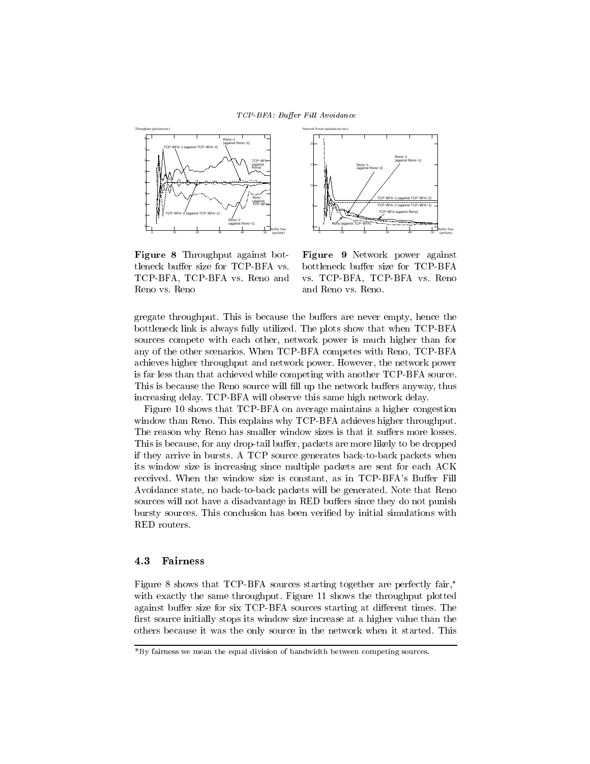





Figure 9 Network power against bottleneck buffer size for TCP-BFA vs. TCP-BFA, TCP-BFA vs. Reno and Reno vs. Reno.

gregate throughput. This is because the buffers are never empty, hence the bottleneck link is always fully utilized. The plots show that when TCP-BFA sources compete with each other, network power is much higher than for any of the other scenarios. When TCP-BFA competes with Reno, TCP-BFA achieves higher throughput and network power. However, the network power is far less than that achieved while competing with another TCP-BFA source. This is because the Reno source will fill up the network buffers anyway, thus increasing delay. TCP-BFA will observe this same high network delay.

Figure 10 shows that TCP-BFA on average maintains a higher congestion window than Reno. This explains why TCP-BFA achieves higher throughput. The reason why Reno has smaller window sizes is that it suffers more losses. This is because, for any drop-tail buffer, packets are more likely to be dropped if they arrive in bursts. A TCP source generates back-to-back packets when its window size is increasing since multiple packets are sent for each ACK received. When the window size is constant, as in TCP-BFA's Buffer Fill Avoidance state, no back-to-back packets will be generated. Note that Reno sources will not have a disadvantage in RED buffers since they do not punish bursty sources. This conclusion has been veried by initial simulations with RED routers.

### 4.3 Fairness

Figure 8 shows that TCP-BFA sources starting together are perfectly fair, with exactly the same throughput. Figure 11 shows the throughput plotted against buffer size for six TCP-BFA sources starting at different times. The first source initially stops its window size increase at a higher value than the others because it was the only source in the network when it started. This

By fairness we mean the equal division of bandwidth between competing sources.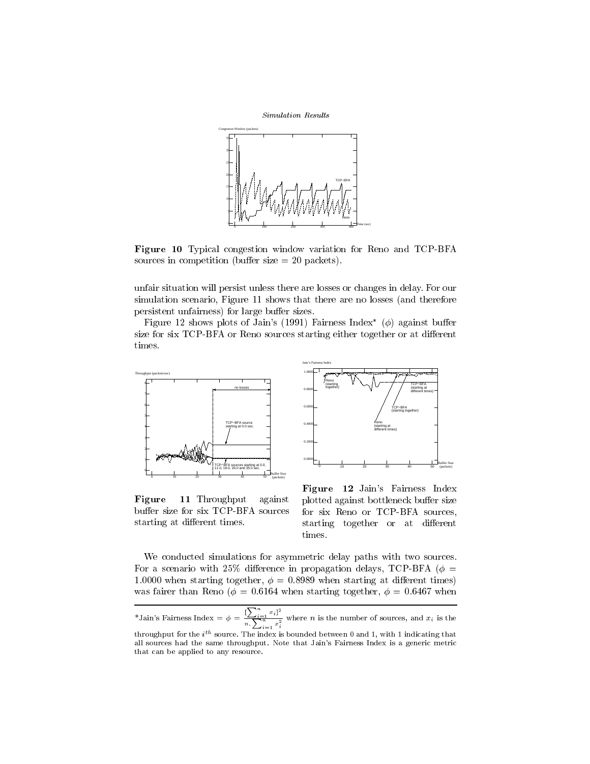Simulation Results



Figure 10 Typical congestion window variation for Reno and TCP-BFA sources in competition (buffer size  $= 20$  packets).

unfair situation will persist unless there are losses or changes in delay. For our simulation scenario, Figure 11 shows that there are no losses (and therefore persistent unfairness) for large buffer sizes.

Figure 12 shows plots of Jain's (1991) Fairness Index<sup>\*</sup> ( $\phi$ ) against buffer size for six TCP-BFA or Reno sources starting either together or at different times.



Figure 11 Throughput against buffer size for six  $TCP-BFA$  sources starting at different times.



Figure 12 Jain's Fairness Index plotted against bottleneck buffer size for six Reno or TCP-BFA sources, starting together or at different times.

We conducted simulations for asymmetric delay paths with two sources. For a scenario with 25% difference in propagation delays, TCP-BFA ( $\phi$  = 1.0000 when starting together,  $\phi = 0.8989$  when starting at different times) was fairer than Reno ( $\phi = 0.6164$  when starting together,  $\phi = 0.6467$  when

 $^*$  Jain's Fairness Index =  $\phi$  $\frac{\left[\sum_{i=1}^{n} x_i\right]^2}{n \cdot \sum_{i=1}^{n} x_i^2}$  where *n* is the number of sources, and  $x_i$  is the

 $t$ h roughput for the  $i$  source. The index is bounded between 0 and 1, with 1 indicating that all sources had the same throughput. Note that Jain's Fairness Index is a generic metric that can be applied to any resource.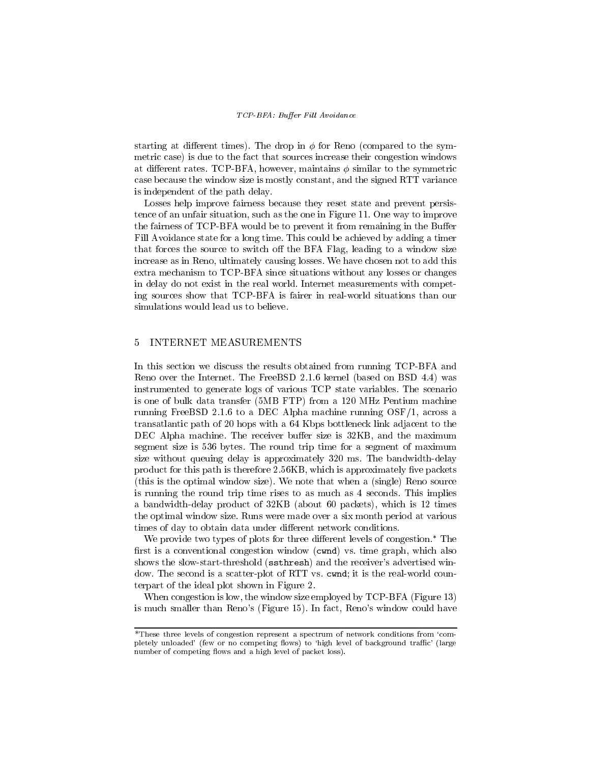starting at different times). The drop in  $\phi$  for Reno (compared to the symmetric case) is due to the fact that sources increase their congestion windows at different rates. TCP-BFA, however, maintains  $\phi$  similar to the symmetric case because the window size is mostly constant, and the signed RTT variance is independent of the path delay.

Losses help improve fairness because they reset state and prevent persistence of an unfair situation, such as the one in Figure 11. One way to improve the fairness of TCP-BFA would be to prevent it from remaining in the Buffer Fill Avoidance state for a long time. This could be achieved by adding a timer that forces the source to switch off the BFA Flag, leading to a window size increase as in Reno, ultimately causing losses. We have chosen not to add this extra mechanism to TCP-BFA since situations without any losses or changes in delay do not exist in the real world. Internet measurements with competing sources show that TCP-BFA is fairer in real-world situations than our simulations would lead us to believe.

### 5 INTERNET MEASUREMENTS

In this section we discuss the results obtained from running TCP-BFA and Reno over the Internet. The FreeBSD 2.1.6 kernel (based on BSD 4.4) was instrumented to generate logs of various TCP state variables. The scenario is one of bulk data transfer (5MB FTP) from a 120 MHz Pentium machine running FreeBSD 2.1.6 to a DEC Alpha machine running OSF/1, across a transatlantic path of 20 hops with a 64 Kbps bottleneck link adjacent to the DEC Alpha machine. The receiver buffer size is  $32KB$ , and the maximum segment size is 536 bytes. The round trip time for a segment of maximum size without queuing delay is approximately 320 ms. The bandwidth-delay product for this path is therefore  $2.56KB$ , which is approximately five packets (this is the optimal window size). We note that when a (single) Reno source is running the round trip time rises to as much as 4 seconds. This implies a bandwidth-delay product of 32KB (about 60 packets), which is 12 times the optimal window size. Runs were made over a six month period at various times of day to obtain data under different network conditions.

We provide two types of plots for three different levels of congestion.<sup>\*</sup> The first is a conventional congestion window (cwnd) vs. time graph, which also shows the slow-start-threshold (ssthresh) and the receiver's advertised window. The second is a scatter-plot of RTT vs. cwnd; it is the real-world counterpart of the ideal plot shown in Figure 2.

When congestion is low, the window size employed by TCP-BFA (Figure 13) is much smaller than Reno's (Figure 15). In fact, Reno's window could have

These three levels of congestion represent a spectrum of network conditions from `completely unloaded' (few or no competing flows) to 'high level of background traffic' (large number of competing flows and a high level of packet loss).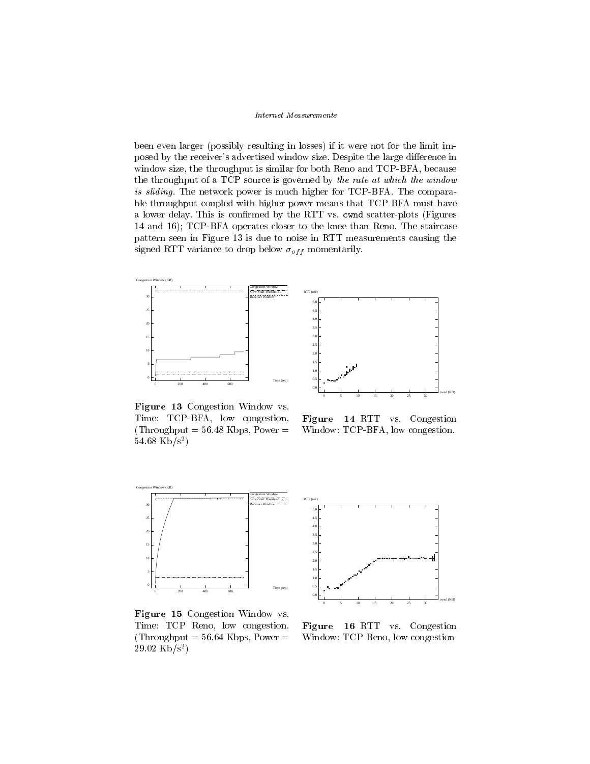### **Internet Measurements**

been even larger (possibly resulting in losses) if it were not for the limit imposed by the receiver's advertised window size. Despite the large difference in window size, the throughput is similar for both Reno and TCP-BFA, because the throughput of a TCP source is governed by the rate at which the window is sliding. The network power is much higher for TCP-BFA. The comparable throughput coupled with higher power means that TCP-BFA must have a lower delay. This is confirmed by the RTT vs. cwnd scatter-plots (Figures 14 and 16); TCP-BFA operates closer to the knee than Reno. The staircase pattern seen in Figure 13 is due to noise in RTT measurements causing the signed RTT variance to drop below  $\sigma_{off}$  momentarily.





Figure 13 Congestion Window vs. Time: TCP-BFA, low congestion.  $(Throughput = 56.48$  Kbps, Power = 04.00 KD/S /

Figure 14 RTT vs. Congestion Window: TCP-BFA, low congestion.



Figure 15 Congestion Window vs. Time: TCP Reno, low congestion.  $(Throughput = 56.64$  Kbps, Power =  $29.02$  ND/S  $\prime$ 



Figure 16 RTT vs. Congestion Window: TCP Reno, low congestion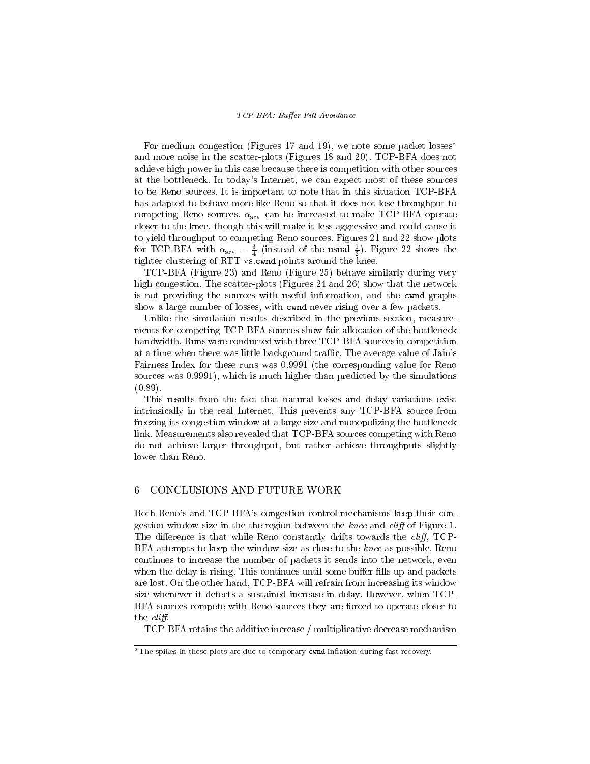For medium congestion (Figures 17 and 19), we note some packet losses and more noise in the scatter-plots (Figures 18 and 20). TCP-BFA does not achieve high power in this case because there is competition with other sources at the bottleneck. In today's Internet, we can expect most of these sources to be Reno sources. It is important to note that in this situation TCP-BFA has adapted to behave more like Reno so that it does not lose throughput to competing Reno sources.  $\alpha_{\rm srv}$  can be increased to make TCP-BFA operate closer to the knee, though this will make it less aggressive and could cause it to yield throughput to competing Reno sources. Figures 21 and 22 show plots for TCP-BFA with  $\alpha_{\rm{srv}} = \frac{2}{4}$  (instead of the usual  $\frac{2}{5}$ ). Figure 22 shows the tighter clustering of  $\mathbf{R}$  around points around the knee. The knee experiments around the knee experiments around the knee experiments around the knee experiments around the knee experiments around the knee experiment

TCP-BFA (Figure 23) and Reno (Figure 25) behave similarly during very high congestion. The scatter-plots (Figures 24 and 26) show that the network is not providing the sources with useful information, and the cwnd graphs show a large number of losses, with cwnd never rising over a few packets.

Unlike the simulation results described in the previous section, measurements for competing TCP-BFA sources show fair allocation of the bottleneck bandwidth. Runs were conducted with three TCP-BFA sources in competition at a time when there was little background traffic. The average value of Jain's Fairness Index for these runs was 0.9991 (the corresponding value for Reno sources was 0.9991), which is much higher than predicted by the simulations (0.89).

This results from the fact that natural losses and delay variations exist intrinsically in the real Internet. This prevents any TCP-BFA source from freezing its congestion window at a large size and monopolizing the bottleneck link. Measurements also revealed that TCP-BFA sources competing with Reno do not achieve larger throughput, but rather achieve throughputs slightly lower than Reno.

#### 6 CONCLUSIONS AND FUTURE WORK 6

Both Reno's and TCP-BFA's congestion control mechanisms keep their congestion window size in the the region between the knee and cliff of Figure 1. The difference is that while Reno constantly drifts towards the  $cliff$ , TCP-BFA attempts to keep the window size as close to the knee as possible. Reno continues to increase the number of packets it sends into the network, even when the delay is rising. This continues until some buffer fills up and packets are lost. On the other hand, TCP-BFA will refrain from increasing its window size whenever it detects a sustained increase in delay. However, when TCP-BFA sources compete with Reno sources they are forced to operate closer to the *cliff*.

TCP-BFA retains the additive increase / multiplicative decrease mechanism

<sup>\*</sup>The spikes in these plots are due to temporary cwnd inflation during fast recovery.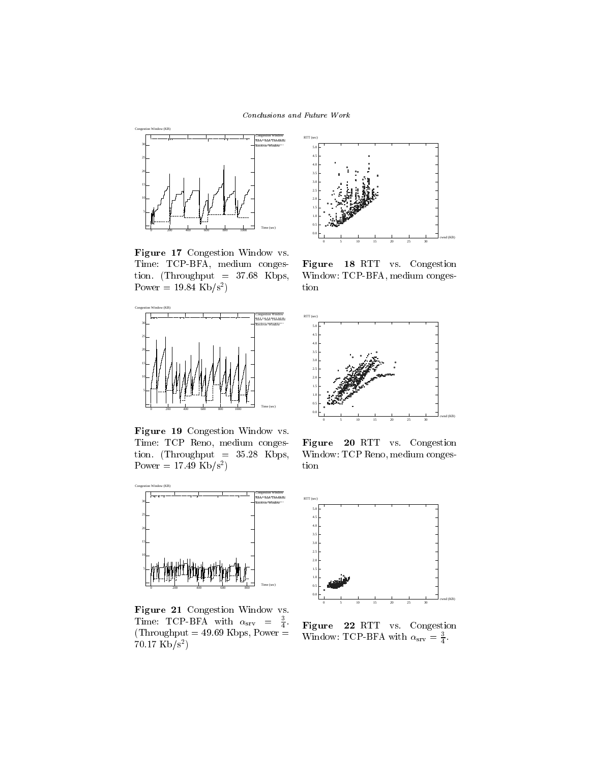

Figure 17 Congestion Window vs. Time: TCP-BFA, medium congestion. (Throughput  $= 37.68$  Kbps,  $Power = 19.84 N0/s$ <sup>-</sup>)



Figure 19 Congestion Window vs. Time: TCP Reno, medium congestion. (Throughput = 35.28 Kbps,  $P(1) = 17.49 \text{ N}^2$ 



Figure 21 Congestion Window vs. Time: TCP-BFA with  $\alpha_{\text{srv}} = \frac{3}{4}$ . (Throughput =  $49.69$  Kbps, Power  $\frac{1}{x}$  $(0.17 \, \text{N}^2)$ 



Figure 18 RTT vs. Congestion Window: TCP-BFA, medium congestion



Figure 20 RTT vs. Congestion Window: TCP Reno, medium congestion



4 **Figure 22 RI**I vs. Congestion WINDOW: LUP-BFA WIth  $\alpha_{\rm{srv}} = \frac{1}{4}$ .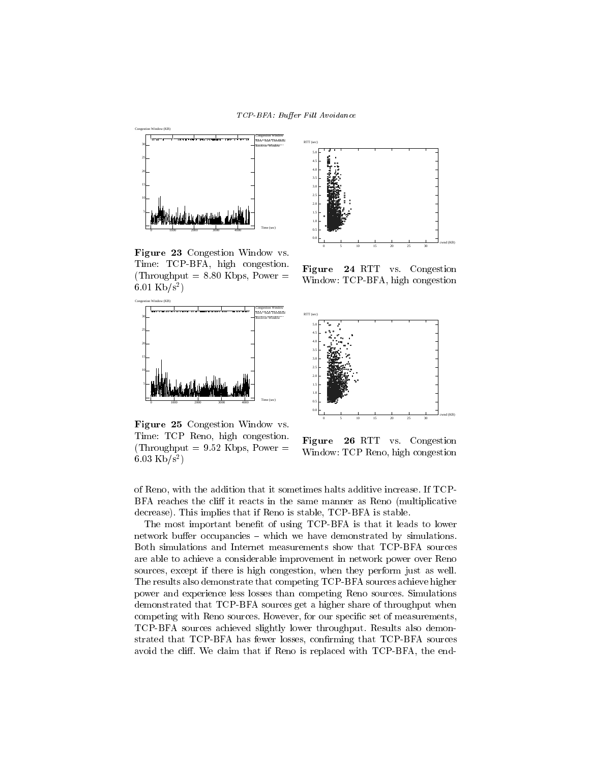

Figure 23 Congestion Window vs. Time: TCP-BFA, high congestion. Figure (Throughput  $= 8.80$  Kbps, Power  $=$  $0.01 \, \mathrm{AD/S}^{-}$ )



Figure 25 Congestion Window vs. Time: TCP Reno, high congestion.  $(Throughput = 9.52$  Kbps, Power =  $0.03 \, \mathrm{N}^{0}/\mathrm{s}^{-}$ 



24 RTT vs. Congestion Window: TCP-BFA, high congestion



Figure 26 RTT vs. Congestion Window: TCP Reno, high congestion

of Reno, with the addition that it sometimes halts additive increase. If TCP-BFA reaches the cliff it reacts in the same manner as Reno (multiplicative decrease). This implies that if Reno is stable, TCP-BFA is stable.

The most important benefit of using TCP-BFA is that it leads to lower network buffer occupancies  $-$  which we have demonstrated by simulations. Both simulations and Internet measurements show that TCP-BFA sources are able to achieve a considerable improvement in network power over Reno sources, except if there is high congestion, when they perform just as well. The results also demonstrate that competing TCP-BFA sources achieve higher power and experience less losses than competing Reno sources. Simulations demonstrated that TCP-BFA sources get a higher share of throughput when competing with Reno sources. However, for our specific set of measurements, TCP-BFA sources achieved slightly lower throughput. Results also demonstrated that TCP-BFA has fewer losses, confirming that TCP-BFA sources avoid the cliff. We claim that if Reno is replaced with TCP-BFA, the end-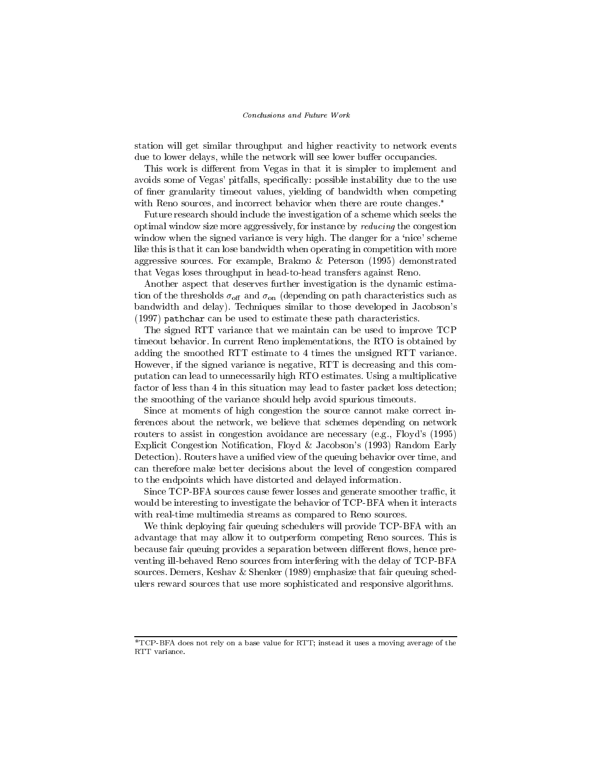#### Conclusions and Future Work

station will get similar throughput and higher reactivity to network events due to lower delays, while the network will see lower buffer occupancies.

This work is different from Vegas in that it is simpler to implement and avoids some of Vegas' pitfalls, specically: possible instability due to the use of finer granularity timeout values, yielding of bandwidth when competing with Reno sources, and incorrect behavior when there are route changes.<sup>\*</sup>

Future research should include the investigation of a scheme which seeks the optimal window size more aggressively, for instance by reducing the congestion window when the signed variance is very high. The danger for a 'nice' scheme like this is that it can lose bandwidth when operating in competition with more aggressive sources. For example, Brakmo & Peterson (1995) demonstrated that Vegas loses throughput in head-to-head transfers against Reno.

Another aspect that deserves further investigation is the dynamic estimation of the thresholds  $\sigma_{\text{off}}$  and  $\sigma_{\text{on}}$  (depending on path characteristics such as bandwidth and delay). Techniques similar to those developed in Jacobson's (1997) pathchar can be used to estimate these path characteristics.

The signed RTT variance that we maintain can be used to improve TCP timeout behavior. In current Reno implementations, the RTO is obtained by adding the smoothed RTT estimate to 4 times the unsigned RTT variance. However, if the signed variance is negative, RTT is decreasing and this computation can lead to unnecessarily high RTO estimates. Using a multiplicative factor of less than 4 in this situation may lead to faster packet loss detection; the smoothing of the variance should help avoid spurious timeouts.

Since at moments of high congestion the source cannot make correct inferences about the network, we believe that schemes depending on network routers to assist in congestion avoidance are necessary (e.g., Floyd's (1995) Explicit Congestion Notication, Floyd & Jacobson's (1993) Random Early Detection). Routers have a unified view of the queuing behavior over time, and can therefore make better decisions about the level of congestion compared to the endpoints which have distorted and delayed information.

Since TCP-BFA sources cause fewer losses and generate smoother traffic, it would be interesting to investigate the behavior of TCP-BFA when it interacts with real-time multimedia streams as compared to Reno sources.

We think deploying fair queuing schedulers will provide TCP-BFA with an advantage that may allow it to outperform competing Reno sources. This is because fair queuing provides a separation between different flows, hence preventing ill-behaved Reno sources from interfering with the delay of TCP-BFA sources. Demers, Keshav & Shenker (1989) emphasize that fair queuing schedulers reward sources that use more sophisticated and responsive algorithms.

TCP-BFA does not rely on a base value for RTT; instead it uses a moving average of the RTT variance.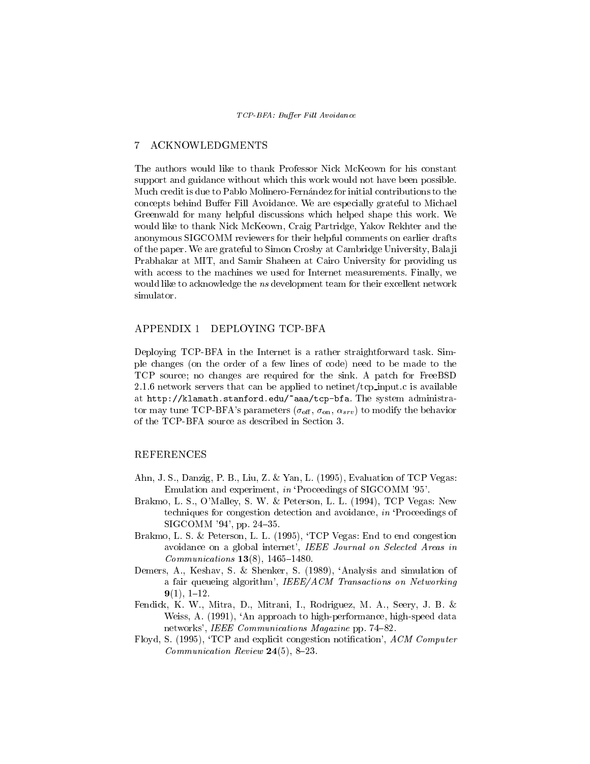# 7 ACKNOWLEDGMENTS

The authors would like to thank Professor Nick McKeown for his constant support and guidance without which this work would not have been possible. Much credit is due to Pablo Molinero-Fernandez for initial contributions to the concepts behind Buffer Fill Avoidance. We are especially grateful to Michael Greenwald for many helpful discussions which helped shape this work. We would like to thank Nick McKeown, Craig Partridge, Yakov Rekhter and the anonymous SIGCOMM reviewers for their helpful comments on earlier drafts of the paper. We are grateful to Simon Crosby at Cambridge University, Bala ji Prabhakar at MIT, and Samir Shaheen at Cairo University for providing us with access to the machines we used for Internet measurements. Finally, we would like to acknowledge the *ns* development team for their excellent network

# APPENDIX 1 DEPLOYING TCP-BFA

Deploying TCP-BFA in the Internet is a rather straightforward task. Simple changes (on the order of a few lines of code) need to be made to the TCP source; no changes are required for the sink. A patch for FreeBSD 2.1.6 network servers that can be applied to netinet/tcp input.c is available at http://klamath.stanford.edu/~aaa/tcp-bfa. The system administrator may tune TCP-BFA's parameters ( $\sigma_{\text{off}}$ ,  $\sigma_{\text{on}}$ ,  $\alpha_{srv}$ ) to modify the behavior of the TCP-BFA source as described in Section 3.

### REFERENCES

- Ahn, J. S., Danzig, P. B., Liu, Z. & Yan, L. (1995), Evaluation of TCP Vegas: Emulation and experiment, in `Proceedings of SIGCOMM '95'.
- Brakmo, L. S., O'Malley, S. W. & Peterson, L. L. (1994), TCP Vegas: New techniques for congestion detection and avoidance, *in* 'Proceedings of  $SIGCOMM '94', pp. 24–35.$
- Brakmo, L. S. & Peterson, L. L. (1995), 'TCP Vegas: End to end congestion avoidance on a global internet', IEEE Journal on Selected Areas in *Communications*  $13(8)$ ,  $1465-1480$ .
- Demers, A., Keshav, S. & Shenker, S. (1989), 'Analysis and simulation of a fair queueing algorithm', IEEE/ACM Transactions on Networking  $9(1), 1{-}12.$
- Fendick, K. W., Mitra, D., Mitrani, I., Rodriguez, M. A., Seery, J. B. & Weiss, A. (1991), 'An approach to high-performance, high-speed data networks', IEEE Communications Magazine pp. 74-82.
- Floyd, S. (1995), `TCP and explicit congestion notication', ACM Computer Communication Review  $24(5)$ , 8-23.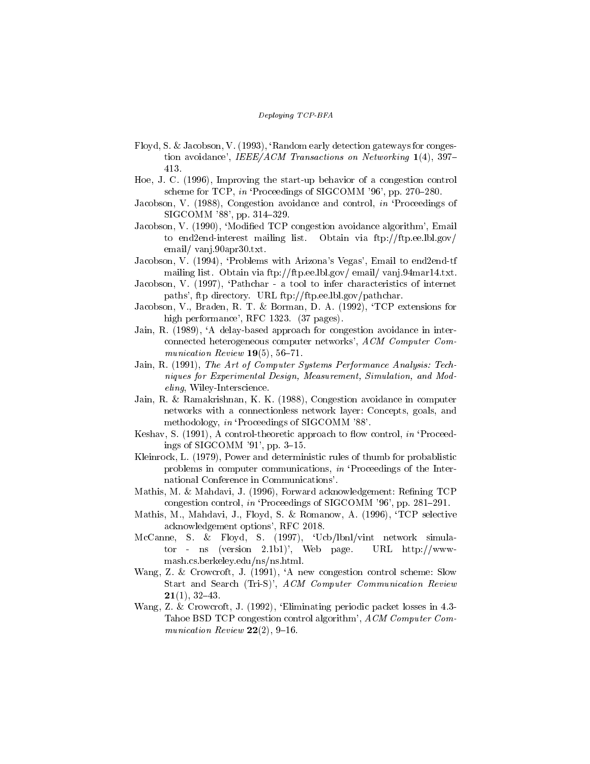#### Deploying TCP-BFA

- Floyd, S. & Jacobson, V. (1993), `Random early detection gateways for congestion avoidance', IEEE/ACM Transactions on Networking  $1(4)$ , 397-413.
- Hoe, J. C. (1996), Improving the start-up behavior of a congestion control scheme for TCP, in 'Proceedings of SIGCOMM '96', pp. 270-280.
- Jacobson, V. (1988), Congestion avoidance and control, *in* 'Proceedings of SIGCOMM '88', pp. 314-329.
- Jacobson, V. (1990), `Modied TCP congestion avoidance algorithm', Email to end2end-interest mailing list. Obtain via ftp://ftp.ee.lbl.gov/ email/ vanj.90apr30.txt.
- Jacobson, V. (1994), 'Problems with Arizona's Vegas', Email to end2end-tf mailing list. Obtain via ftp://ftp.ee.lbl.gov/ email/ vanj.94mar14.txt.
- Jacobson, V. (1997), 'Pathchar a tool to infer characteristics of internet paths', ftp directory. URL ftp://ftp.ee.lbl.gov/pathchar.
- Jacobson, V., Braden, R. T. & Borman, D. A. (1992), 'TCP extensions for high performance', RFC 1323. (37 pages).
- Jain, R. (1989), 'A delay-based approach for congestion avoidance in interconnected heterogeneous computer networks', ACM Computer Communication Review  $19(5)$ , 56-71.
- Jain, R. (1991), The Art of Computer Systems Performance Analysis: Techniques for Experimental Design, Measurement, Simulation, and Modeling, Wiley-Interscience.
- Jain, R. & Ramakrishnan, K. K. (1988), Congestion avoidance in computer networks with a connectionless network layer: Concepts, goals, and methodology, in 'Proceedings of SIGCOMM '88'.
- Keshav, S.  $(1991)$ , A control-theoretic approach to flow control, in 'Proceedings of SIGCOMM  $'91'$ , pp. 3-15.
- Kleinrock, L. (1979), Power and deterministic rules of thumb for probablistic problems in computer communications, in `Proceedings of the International Conference in Communications'.
- Mathis, M. & Mahdavi, J. (1996), Forward acknowledgement: Refining TCP congestion control, in 'Proceedings of SIGCOMM '96', pp. 281-291.
- Mathis, M., Mahdavi, J., Floyd, S. & Romanow, A. (1996), `TCP selective acknowledgement options', RFC 2018.
- McCanne, S. & Floyd, S. (1997), 'Ucb/lbnl/vint network simulator - ns (version 2.1b1)', Web page. URL http://wwwmash.cs.berkeley.edu/ns/ns.html.
- Wang, Z. & Crowcroft, J. (1991), 'A new congestion control scheme: Slow Start and Search (Tri-S)', ACM Computer Communication Review  $21(1), 32-43.$
- Wang, Z. & Crowcroft, J. (1992), 'Eliminating periodic packet losses in 4.3-Tahoe BSD TCP congestion control algorithm', ACM Computer Communication Review  $22(2)$ , 9-16.